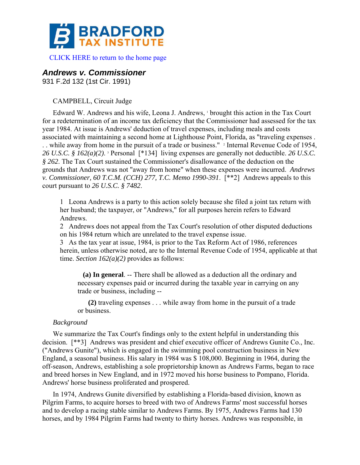

### [CLICK HERE to return to the home page](http://bradfordtaxinstitute.com/index1.aspx)

# *Andrews v. Commissioner*

931 F.2d 132 (1st Cir. 1991)

# CAMPBELL, Circuit Judge

Edward W. Andrews and his wife, Leona J. Andrews, **brought this action in the Tax Court** for a redetermination of an income tax deficiency that the Commissioner had assessed for the tax year 1984. At issue is Andrews' deduction of travel expenses, including meals and costs associated with maintaining a second home at Lighthouse Point, Florida, as "traveling expenses . .. while away from home in the pursuit of a trade or business." <sup>2</sup> Internal Revenue Code of 1954, 26 U.S.C. § 162(a)(2). <sup>3</sup> Personal [\*134] living expenses are generally not deductible. 26 U.S.C. *§ 262*. The Tax Court sustained the Commissioner's disallowance of the deduction on the grounds that Andrews was not "away from home" when these expenses were incurred. *Andrews v. Commissioner, 60 T.C.M. (CCH) 277, T.C. Memo 1990-391*. [\*\*2] Andrews appeals to this court pursuant to *26 U.S.C. § 7482*.

1 Leona Andrews is a party to this action solely because she filed a joint tax return with her husband; the taxpayer, or "Andrews," for all purposes herein refers to Edward Andrews.

2 Andrews does not appeal from the Tax Court's resolution of other disputed deductions on his 1984 return which are unrelated to the travel expense issue.

3 As the tax year at issue, 1984, is prior to the Tax Reform Act of 1986, references herein, unless otherwise noted, are to the Internal Revenue Code of 1954, applicable at that time. *Section 162(a)(2)* provides as follows:

**(a) In general**. -- There shall be allowed as a deduction all the ordinary and necessary expenses paid or incurred during the taxable year in carrying on any trade or business, including --

**(2)** traveling expenses . . . while away from home in the pursuit of a trade or business.

## *Background*

We summarize the Tax Court's findings only to the extent helpful in understanding this decision. [\*\*3] Andrews was president and chief executive officer of Andrews Gunite Co., Inc. ("Andrews Gunite"), which is engaged in the swimming pool construction business in New England, a seasonal business. His salary in 1984 was \$ 108,000. Beginning in 1964, during the off-season, Andrews, establishing a sole proprietorship known as Andrews Farms, began to race and breed horses in New England, and in 1972 moved his horse business to Pompano, Florida. Andrews' horse business proliferated and prospered.

In 1974, Andrews Gunite diversified by establishing a Florida-based division, known as Pilgrim Farms, to acquire horses to breed with two of Andrews Farms' most successful horses and to develop a racing stable similar to Andrews Farms. By 1975, Andrews Farms had 130 horses, and by 1984 Pilgrim Farms had twenty to thirty horses. Andrews was responsible, in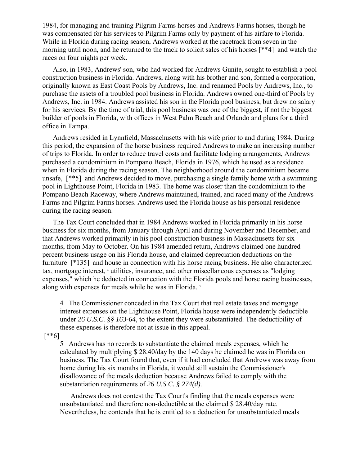1984, for managing and training Pilgrim Farms horses and Andrews Farms horses, though he was compensated for his services to Pilgrim Farms only by payment of his airfare to Florida. While in Florida during racing season, Andrews worked at the racetrack from seven in the morning until noon, and he returned to the track to solicit sales of his horses [\*\*4] and watch the races on four nights per week.

Also, in 1983, Andrews' son, who had worked for Andrews Gunite, sought to establish a pool construction business in Florida. Andrews, along with his brother and son, formed a corporation, originally known as East Coast Pools by Andrews, Inc. and renamed Pools by Andrews, Inc., to purchase the assets of a troubled pool business in Florida. Andrews owned one-third of Pools by Andrews, Inc. in 1984. Andrews assisted his son in the Florida pool business, but drew no salary for his services. By the time of trial, this pool business was one of the biggest, if not the biggest builder of pools in Florida, with offices in West Palm Beach and Orlando and plans for a third office in Tampa.

Andrews resided in Lynnfield, Massachusetts with his wife prior to and during 1984. During this period, the expansion of the horse business required Andrews to make an increasing number of trips to Florida. In order to reduce travel costs and facilitate lodging arrangements, Andrews purchased a condominium in Pompano Beach, Florida in 1976, which he used as a residence when in Florida during the racing season. The neighborhood around the condominium became unsafe, [\*\*5] and Andrews decided to move, purchasing a single family home with a swimming pool in Lighthouse Point, Florida in 1983. The home was closer than the condominium to the Pompano Beach Raceway, where Andrews maintained, trained, and raced many of the Andrews Farms and Pilgrim Farms horses. Andrews used the Florida house as his personal residence during the racing season.

The Tax Court concluded that in 1984 Andrews worked in Florida primarily in his horse business for six months, from January through April and during November and December, and that Andrews worked primarily in his pool construction business in Massachusetts for six months, from May to October. On his 1984 amended return, Andrews claimed one hundred percent business usage on his Florida house, and claimed depreciation deductions on the furniture [\*135] and house in connection with his horse racing business. He also characterized tax, mortgage interest, <sup>4</sup> utilities, insurance, and other miscellaneous expenses as "lodging expenses," which he deducted in connection with the Florida pools and horse racing businesses, along with expenses for meals while he was in Florida.<sup>5</sup>

4 The Commissioner conceded in the Tax Court that real estate taxes and mortgage interest expenses on the Lighthouse Point, Florida house were independently deductible under *26 U.S.C. §§ 163-64*, to the extent they were substantiated. The deductibility of these expenses is therefore not at issue in this appeal.

[\*\*6]

5 Andrews has no records to substantiate the claimed meals expenses, which he calculated by multiplying \$ 28.40/day by the 140 days he claimed he was in Florida on business. The Tax Court found that, even if it had concluded that Andrews was away from home during his six months in Florida, it would still sustain the Commissioner's disallowance of the meals deduction because Andrews failed to comply with the substantiation requirements of *26 U.S.C. § 274(d)*.

Andrews does not contest the Tax Court's finding that the meals expenses were unsubstantiated and therefore non-deductible at the claimed \$ 28.40/day rate. Nevertheless, he contends that he is entitled to a deduction for unsubstantiated meals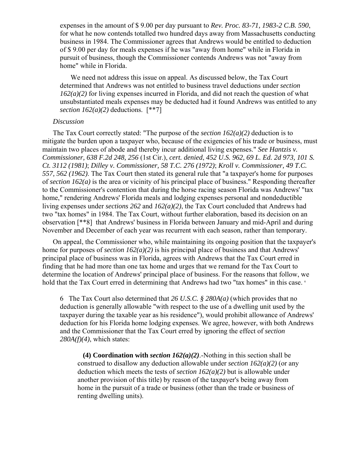expenses in the amount of \$ 9.00 per day pursuant to *Rev. Proc. 83-71, 1983-2 C.B. 590*, for what he now contends totalled two hundred days away from Massachusetts conducting business in 1984. The Commissioner agrees that Andrews would be entitled to deduction of \$ 9.00 per day for meals expenses if he was "away from home" while in Florida in pursuit of business, though the Commissioner contends Andrews was not "away from home" while in Florida.

We need not address this issue on appeal. As discussed below, the Tax Court determined that Andrews was not entitled to business travel deductions under *section 162(a)(2)* for living expenses incurred in Florida, and did not reach the question of what unsubstantiated meals expenses may be deducted had it found Andrews was entitled to any *section*  $162(a)(2)$  deductions.  $[**7]$ 

# *Discussion*

The Tax Court correctly stated: "The purpose of the *section 162(a)(2)* deduction is to mitigate the burden upon a taxpayer who, because of the exigencies of his trade or business, must maintain two places of abode and thereby incur additional living expenses." *See Hantzis v. Commissioner, 638 F.2d 248, 256* (1st Cir.), *cert. denied*, *452 U.S. 962, 69 L. Ed. 2d 973, 101 S. Ct. 3112 (1981)*; *Dilley v. Commissioner, 58 T.C. 276 (1972)*; *Kroll v. Commissioner, 49 T.C. 557, 562 (1962)*. The Tax Court then stated its general rule that "a taxpayer's home for purposes of *section 162(a)* is the area or vicinity of his principal place of business." Responding thereafter to the Commissioner's contention that during the horse racing season Florida was Andrews' "tax home," rendering Andrews' Florida meals and lodging expenses personal and nondeductible living expenses under *sections 262* and *162(a)(2)*, the Tax Court concluded that Andrews had two "tax homes" in 1984. The Tax Court, without further elaboration, based its decision on an observation [\*\*8] that Andrews' business in Florida between January and mid-April and during November and December of each year was recurrent with each season, rather than temporary.

On appeal, the Commissioner who, while maintaining its ongoing position that the taxpayer's home for purposes of *section 162(a)(2)* is his principal place of business and that Andrews' principal place of business was in Florida, agrees with Andrews that the Tax Court erred in finding that he had more than one tax home and urges that we remand for the Tax Court to determine the location of Andrews' principal place of business. For the reasons that follow, we hold that the Tax Court erred in determining that Andrews had two "tax homes" in this case.  $\epsilon$ 

6 The Tax Court also determined that *26 U.S.C. § 280A(a)* (which provides that no deduction is generally allowable "with respect to the use of a dwelling unit used by the taxpayer during the taxable year as his residence"), would prohibit allowance of Andrews' deduction for his Florida home lodging expenses. We agree, however, with both Andrews and the Commissioner that the Tax Court erred by ignoring the effect of *section 280A(f)(4)*, which states:

(4) Coordination with *section*  $162(a)(2)$ . Nothing in this section shall be construed to disallow any deduction allowable under *section 162(a)(2)* (or any deduction which meets the tests of *section 162(a)(2)* but is allowable under another provision of this title) by reason of the taxpayer's being away from home in the pursuit of a trade or business (other than the trade or business of renting dwelling units).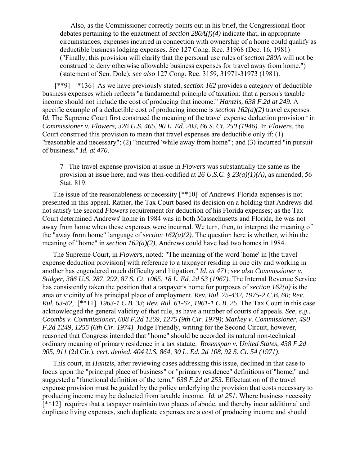Also, as the Commissioner correctly points out in his brief, the Congressional floor debates pertaining to the enactment of *section 280A(f)(4)* indicate that, in appropriate circumstances, expenses incurred in connection with ownership of a home could qualify as deductible business lodging expenses. *See* 127 Cong. Rec. 31968 (Dec. 16, 1981) ("Finally, this provision will clarify that the personal use rules of *section 280A* will not be construed to deny otherwise allowable business expenses for travel away from home.") (statement of Sen. Dole); *see also* 127 Cong. Rec. 3159, 31971-31973 (1981).

 [\*\*9] [\*136] As we have previously stated, *section 162* provides a category of deductible business expenses which reflects "a fundamental principle of taxation: that a person's taxable income should not include the cost of producing that income." *Hantzis, 638 F.2d at 249*. A specific example of a deductible cost of producing income is *section 162(a)(2)* travel expenses. *Id.* The Supreme Court first construed the meaning of the travel expense deduction provision<sup>7</sup> in *Commissioner v. Flowers, 326 U.S. 465, 90 L. Ed. 203, 66 S. Ct. 250 (1946)*. In *Flowers*, the Court construed this provision to mean that travel expenses are deductible only if: (1) "reasonable and necessary"; (2) "incurred 'while away from home'"; and (3) incurred "in pursuit of business." *Id. at 470*.

7 The travel expense provision at issue in *Flowers* was substantially the same as the provision at issue here, and was then-codified at *26 U.S.C. § 23(a)(1)(A)*, as amended, 56 Stat. 819.

The issue of the reasonableness or necessity [\*\*10] of Andrews' Florida expenses is not presented in this appeal. Rather, the Tax Court based its decision on a holding that Andrews did not satisfy the second *Flowers* requirement for deduction of his Florida expenses; as the Tax Court determined Andrews' home in 1984 was in both Massachusetts and Florida, he was not away from home when these expenses were incurred. We turn, then, to interpret the meaning of the "away from home" language of *section 162(a)(2)*. The question here is whether, within the meaning of "home" in *section 162(a)(2)*, Andrews could have had two homes in 1984.

The Supreme Court, in *Flowers*, noted: "The meaning of the word 'home' in [the travel expense deduction provision] with reference to a taxpayer residing in one city and working in another has engendered much difficulty and litigation." *Id. at 471*; *see also Commissioner v. Stidger, 386 U.S. 287, 292, 87 S. Ct. 1065, 18 L. Ed. 2d 53 (1967)*. The Internal Revenue Service has consistently taken the position that a taxpayer's home for purposes of *section 162(a)* is the area or vicinity of his principal place of employment. *Rev. Rul. 75-432, 1975-2 C.B. 60*; *Rev. Rul. 63-82,* [\*\*11] *1963-1 C.B. 33*; *Rev. Rul. 61-67, 1961-1 C.B. 25*. The Tax Court in this case acknowledged the general validity of that rule, as have a number of courts of appeals. *See, e.g., Coombs v. Commissioner, 608 F.2d 1269, 1275 (9th Cir. 1979)*; *Markey v. Commissioner, 490 F.2d 1249, 1255 (6th Cir. 1974)*. Judge Friendly, writing for the Second Circuit, however, reasoned that Congress intended that "home" should be accorded its natural non-technical ordinary meaning of primary residence in a tax statute. *Rosenspan v. United States, 438 F.2d 905, 911* (2d Cir.), *cert. denied*, *404 U.S. 864, 30 L. Ed. 2d 108, 92 S. Ct. 54 (1971)*.

This court, in *Hantzis*, after reviewing cases addressing this issue, declined in that case to focus upon the "principal place of business" or "primary residence" definitions of "home," and suggested a "functional definition of the term," *638 F.2d at 253*. Effectuation of the travel expense provision must be guided by the policy underlying the provision that costs necessary to producing income may be deducted from taxable income. *Id. at 251*. Where business necessity [\*\*12] requires that a taxpayer maintain two places of abode, and thereby incur additional and duplicate living expenses, such duplicate expenses are a cost of producing income and should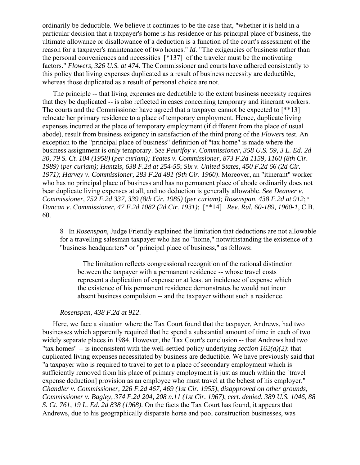ordinarily be deductible. We believe it continues to be the case that, "whether it is held in a particular decision that a taxpayer's home is his residence or his principal place of business, the ultimate allowance or disallowance of a deduction is a function of the court's assessment of the reason for a taxpayer's maintenance of two homes." *Id.* "The exigencies of business rather than the personal conveniences and necessities [\*137] of the traveler must be the motivating factors." *Flowers, 326 U.S. at 474*. The Commissioner and courts have adhered consistently to this policy that living expenses duplicated as a result of business necessity are deductible, whereas those duplicated as a result of personal choice are not.

The principle -- that living expenses are deductible to the extent business necessity requires that they be duplicated -- is also reflected in cases concerning temporary and itinerant workers. The courts and the Commissioner have agreed that a taxpayer cannot be expected to [\*\*13] relocate her primary residence to a place of temporary employment. Hence, duplicate living expenses incurred at the place of temporary employment (if different from the place of usual abode), result from business exigency in satisfaction of the third prong of the *Flowers* test. An exception to the "principal place of business" definition of "tax home" is made where the business assignment is only temporary. *See Peurifoy v. Commissioner, 358 U.S. 59, 3 L. Ed. 2d 30, 79 S. Ct. 104 (1958)* (*per curiam); Yeates v. Commissioner, 873 F.2d 1159, 1160 (8th Cir. 1989)* (*per curiam); Hantzis, 638 F.2d at 254-55*; *Six v. United States, 450 F.2d 66 (2d Cir. 1971)*; *Harvey v. Commissioner, 283 F.2d 491 (9th Cir. 1960)*. Moreover, an "itinerant" worker who has no principal place of business and has no permanent place of abode ordinarily does not bear duplicate living expenses at all, and no deduction is generally allowable. *See Deamer v. Commissioner, 752 F.2d 337, 339 (8th Cir. 1985)* (*per curiam); Rosenspan, 438 F.2d at 912*; 8 *Duncan v. Commissioner, 47 F.2d 1082 (2d Cir. 1931)*; [\*\*14] *Rev. Rul. 60-189, 1960-1*, C.B. 60.

8 In *Rosenspan*, Judge Friendly explained the limitation that deductions are not allowable for a travelling salesman taxpayer who has no "home," notwithstanding the existence of a "business headquarters" or "principal place of business," as follows:

 The limitation reflects congressional recognition of the rational distinction between the taxpayer with a permanent residence -- whose travel costs represent a duplication of expense or at least an incidence of expense which the existence of his permanent residence demonstrates he would not incur absent business compulsion -- and the taxpayer without such a residence.

#### *Rosenspan, 438 F.2d at 912*.

Here, we face a situation where the Tax Court found that the taxpayer, Andrews, had two businesses which apparently required that he spend a substantial amount of time in each of two widely separate places in 1984. However, the Tax Court's conclusion -- that Andrews had two "tax homes" -- is inconsistent with the well-settled policy underlying *section 162(a)(2)*: that duplicated living expenses necessitated by business are deductible. We have previously said that "a taxpayer who is required to travel to get to a place of secondary employment which is sufficiently removed from his place of primary employment is just as much within the [travel expense deduction] provision as an employee who must travel at the behest of his employer." *Chandler v. Commissioner, 226 F.2d 467, 469 (1st Cir. 1955)*, *disapproved on other grounds, Commissioner v. Bagley, 374 F.2d 204, 208 n.11 (1st Cir. 1967)*, *cert. denied*, *389 U.S. 1046, 88 S. Ct. 761, 19 L. Ed. 2d 838 (1968)*. On the facts the Tax Court has found, it appears that Andrews, due to his geographically disparate horse and pool construction businesses, was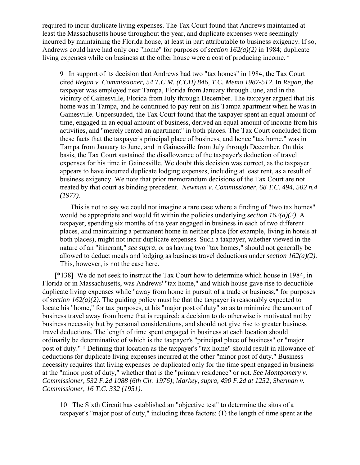required to incur duplicate living expenses. The Tax Court found that Andrews maintained at least the Massachusetts house throughout the year, and duplicate expenses were seemingly incurred by maintaining the Florida house, at least in part attributable to business exigency. If so, Andrews could have had only one "home" for purposes of *section 162(a)(2)* in 1984; duplicate living expenses while on business at the other house were a cost of producing income. <sup>9</sup>

9 In support of its decision that Andrews had two "tax homes" in 1984, the Tax Court cited *Regan v. Commissioner, 54 T.C.M. (CCH) 846, T.C. Memo 1987-512*. In *Regan*, the taxpayer was employed near Tampa, Florida from January through June, and in the vicinity of Gainesville, Florida from July through December. The taxpayer argued that his home was in Tampa, and he continued to pay rent on his Tampa apartment when he was in Gainesville. Unpersuaded, the Tax Court found that the taxpayer spent an equal amount of time, engaged in an equal amount of business, derived an equal amount of income from his activities, and "merely rented an apartment" in both places. The Tax Court concluded from these facts that the taxpayer's principal place of business, and hence "tax home," was in Tampa from January to June, and in Gainesville from July through December. On this basis, the Tax Court sustained the disallowance of the taxpayer's deduction of travel expenses for his time in Gainesville. We doubt this decision was correct, as the taxpayer appears to have incurred duplicate lodging expenses, including at least rent, as a result of business exigency. We note that prior memorandum decisions of the Tax Court are not treated by that court as binding precedent. *Newman v. Commissioner, 68 T.C. 494, 502 n.4 (1977)*.

This is not to say we could not imagine a rare case where a finding of "two tax homes" would be appropriate and would fit within the policies underlying *section 162(a)(2)*. A taxpayer, spending six months of the year engaged in business in each of two different places, and maintaining a permanent home in neither place (for example, living in hotels at both places), might not incur duplicate expenses. Such a taxpayer, whether viewed in the nature of an "itinerant," *see supra*, or as having two "tax homes," should not generally be allowed to deduct meals and lodging as business travel deductions under *section 162(a)(2)*. This, however, is not the case here.

 [\*138] We do not seek to instruct the Tax Court how to determine which house in 1984, in Florida or in Massachusetts, was Andrews' "tax home," and which house gave rise to deductible duplicate living expenses while "away from home in pursuit of a trade or business," for purposes of *section 162(a)(2)*. The guiding policy must be that the taxpayer is reasonably expected to locate his "home," for tax purposes, at his "major post of duty" so as to minimize the amount of business travel away from home that is required; a decision to do otherwise is motivated not by business necessity but by personal considerations, and should not give rise to greater business travel deductions. The length of time spent engaged in business at each location should ordinarily be determinative of which is the taxpayer's "principal place of business" or "major post of duty." 10 Defining that location as the taxpayer's "tax home" should result in allowance of deductions for duplicate living expenses incurred at the other "minor post of duty." Business necessity requires that living expenses be duplicated only for the time spent engaged in business at the "minor post of duty," whether that is the "primary residence" or not. *See Montgomery v. Commissioner, 532 F.2d 1088 (6th Cir. 1976)*; *Markey, supra, 490 F.2d at 1252*; *Sherman v. Commissioner, 16 T.C. 332 (1951)*.

10 The Sixth Circuit has established an "objective test" to determine the situs of a taxpayer's "major post of duty," including three factors: (1) the length of time spent at the